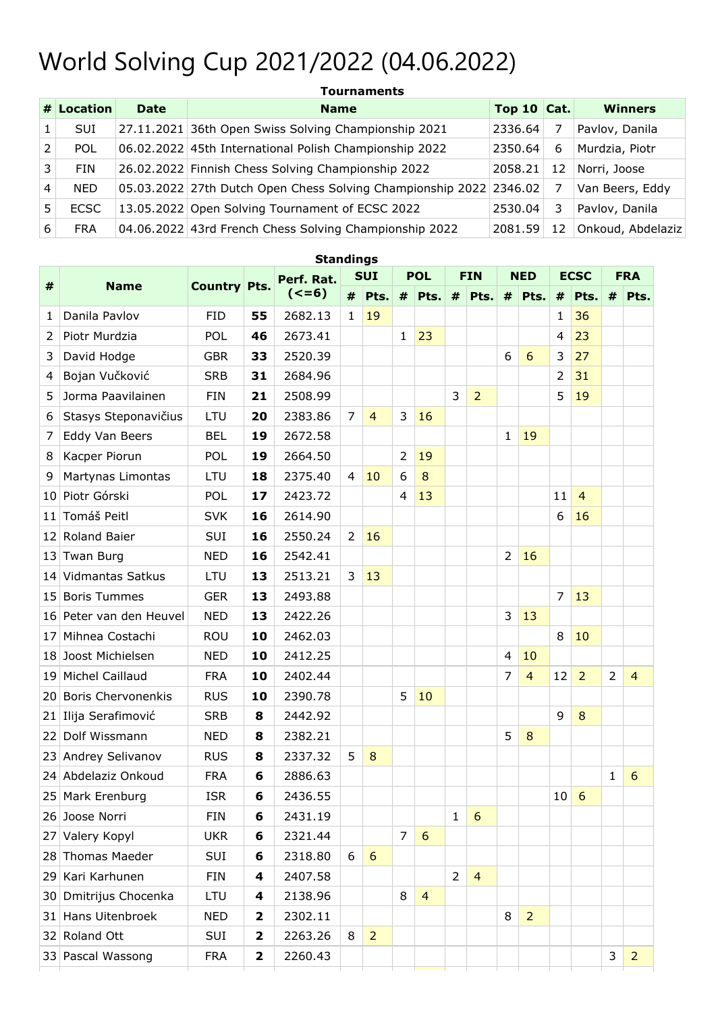## World Solving Cup 2021/2022 (04.06.2022)

|   | <b>Tournaments</b> |             |                                                                    |               |    |                   |  |  |  |  |  |  |  |
|---|--------------------|-------------|--------------------------------------------------------------------|---------------|----|-------------------|--|--|--|--|--|--|--|
|   | # Location         | <b>Date</b> | <b>Name</b>                                                        | Top 10 $Cat.$ |    | <b>Winners</b>    |  |  |  |  |  |  |  |
|   | <b>SUI</b>         |             | 27.11.2021 36th Open Swiss Solving Championship 2021               | 2336.64       | 7  | Pavlov, Danila    |  |  |  |  |  |  |  |
|   | <b>POL</b>         |             | 06.02.2022 45th International Polish Championship 2022             | 2350.64       | 6  | Murdzia, Piotr    |  |  |  |  |  |  |  |
| 3 | <b>FIN</b>         |             | 26.02.2022 Finnish Chess Solving Championship 2022                 | 2058.21       | 12 | Norri, Joose      |  |  |  |  |  |  |  |
| 4 | <b>NED</b>         |             | 05.03.2022 27th Dutch Open Chess Solving Championship 2022 2346.02 |               | 7  | Van Beers, Eddy   |  |  |  |  |  |  |  |
| 5 | <b>ECSC</b>        |             | 13.05.2022 Open Solving Tournament of ECSC 2022                    | 2530.04       | 3  | Pavlov, Danila    |  |  |  |  |  |  |  |
| 6 | <b>FRA</b>         |             | 04.06.2022 43rd French Chess Solving Championship 2022             | 2081.59       | 12 | Onkoud, Abdelaziz |  |  |  |  |  |  |  |

| <b>Standings</b> |                           |                     |              |            |              |                 |                |                |                |                |              |                |                |                |                |                |
|------------------|---------------------------|---------------------|--------------|------------|--------------|-----------------|----------------|----------------|----------------|----------------|--------------|----------------|----------------|----------------|----------------|----------------|
| $\#$             | <b>Name</b>               | <b>Country Pts.</b> |              | Perf. Rat. | <b>SUI</b>   |                 | <b>POL</b>     |                | <b>FIN</b>     |                | <b>NED</b>   |                | <b>ECSC</b>    |                |                | <b>FRA</b>     |
|                  |                           |                     |              | $(<=6)$    | #            | Pts.            |                | $#$ Pts.       |                | $#$ Pts.       |              | $#$ Pts.       | #              | Pts.           | #              | Pts.           |
| 1                | Danila Pavlov             | <b>FID</b>          | 55           | 2682.13    | $\mathbf{1}$ | 19              |                |                |                |                |              |                | 1              | 36             |                |                |
| 2                | Piotr Murdzia             | <b>POL</b>          | 46           | 2673.41    |              |                 | $\mathbf{1}$   | 23             |                |                |              |                | 4              | 23             |                |                |
| 3                | David Hodge               | <b>GBR</b>          | 33           | 2520.39    |              |                 |                |                |                |                | 6            | 6              | 3              | 27             |                |                |
| 4                | Bojan Vučković            | <b>SRB</b>          | 31           | 2684.96    |              |                 |                |                |                |                |              |                | 2              | 31             |                |                |
| 5                | Jorma Paavilainen         | <b>FIN</b>          | 21           | 2508.99    |              |                 |                |                | 3              | $\overline{2}$ |              |                | 5              | 19             |                |                |
| 6                | Stasys Steponavičius      | LTU                 | 20           | 2383.86    | 7            | $\overline{4}$  | 3              | 16             |                |                |              |                |                |                |                |                |
| 7                | Eddy Van Beers            | <b>BEL</b>          | 19           | 2672.58    |              |                 |                |                |                |                | $\mathbf{1}$ | 19             |                |                |                |                |
| 8                | Kacper Piorun             | <b>POL</b>          | 19           | 2664.50    |              |                 | 2              | 19             |                |                |              |                |                |                |                |                |
| 9                | Martynas Limontas         | LTU                 | 18           | 2375.40    | 4            | 10              | 6              | 8              |                |                |              |                |                |                |                |                |
| 10               | Piotr Górski              | <b>POL</b>          | 17           | 2423.72    |              |                 | 4              | 13             |                |                |              |                | 11             | $\overline{4}$ |                |                |
| 11               | Tomáš Peitl               | <b>SVK</b>          | 16           | 2614.90    |              |                 |                |                |                |                |              |                | 6              | 16             |                |                |
| 12               | Roland Baier              | <b>SUI</b>          | 16           | 2550.24    | 2            | 16              |                |                |                |                |              |                |                |                |                |                |
| 13               | Twan Burg                 | <b>NED</b>          | 16           | 2542.41    |              |                 |                |                |                |                | 2            | 16             |                |                |                |                |
| 14               | <b>Vidmantas Satkus</b>   | LTU                 | 13           | 2513.21    | 3            | 13              |                |                |                |                |              |                |                |                |                |                |
| 15               | <b>Boris Tummes</b>       | <b>GER</b>          | 13           | 2493.88    |              |                 |                |                |                |                |              |                | $\overline{7}$ | 13             |                |                |
| 16               | Peter van den Heuvel      | <b>NED</b>          | 13           | 2422.26    |              |                 |                |                |                |                | 3            | 13             |                |                |                |                |
| 17               | Mihnea Costachi           | <b>ROU</b>          | 10           | 2462.03    |              |                 |                |                |                |                |              |                | 8              | 10             |                |                |
| 18               | Joost Michielsen          | <b>NED</b>          | 10           | 2412.25    |              |                 |                |                |                |                | 4            | 10             |                |                |                |                |
| 19               | Michel Caillaud           | <b>FRA</b>          | 10           | 2402.44    |              |                 |                |                |                |                | 7            | $\overline{4}$ | 12             | $\overline{2}$ | $\overline{2}$ | $\overline{4}$ |
| 20               | <b>Boris Chervonenkis</b> | <b>RUS</b>          | 10           | 2390.78    |              |                 | 5              | 10             |                |                |              |                |                |                |                |                |
| 21               | Ilija Serafimović         | <b>SRB</b>          | 8            | 2442.92    |              |                 |                |                |                |                |              |                | 9              | 8              |                |                |
| 22               | Dolf Wissmann             | <b>NED</b>          | 8            | 2382.21    |              |                 |                |                |                |                | 5            | $\bf 8$        |                |                |                |                |
| 23               | Andrey Selivanov          | <b>RUS</b>          | 8            | 2337.32    | 5            | 8               |                |                |                |                |              |                |                |                |                |                |
|                  | 24 Abdelaziz Onkoud       | <b>FRA</b>          | 6            | 2886.63    |              |                 |                |                |                |                |              |                |                |                | 1              | 6              |
|                  | 25 Mark Erenburg          | <b>ISR</b>          | 6            | 2436.55    |              |                 |                |                |                |                |              |                | $10 \mid 6$    |                |                |                |
|                  | 26 Joose Norri            | <b>FIN</b>          | 6            | 2431.19    |              |                 |                |                | $\mathbf{1}$   | 6              |              |                |                |                |                |                |
|                  | 27 Valery Kopyl           | <b>UKR</b>          | 6            | 2321.44    |              |                 | $\overline{7}$ | 6              |                |                |              |                |                |                |                |                |
|                  | 28 Thomas Maeder          | <b>SUI</b>          | 6            | 2318.80    | 6            | $6\phantom{1}6$ |                |                |                |                |              |                |                |                |                |                |
|                  | 29 Kari Karhunen          | <b>FIN</b>          | 4            | 2407.58    |              |                 |                |                | $\overline{2}$ | $\overline{4}$ |              |                |                |                |                |                |
|                  | 30 Dmitrijus Chocenka     | LTU                 | 4            | 2138.96    |              |                 | 8              | $\overline{4}$ |                |                |              |                |                |                |                |                |
|                  | 31 Hans Uitenbroek        | <b>NED</b>          | $\mathbf{2}$ | 2302.11    |              |                 |                |                |                |                | 8            | $\overline{2}$ |                |                |                |                |
|                  | 32 Roland Ott             | SUI                 | $\mathbf{2}$ | 2263.26    | 8            | $\overline{2}$  |                |                |                |                |              |                |                |                |                |                |
|                  | 33 Pascal Wassong         | <b>FRA</b>          | $\mathbf{2}$ | 2260.43    |              |                 |                |                |                |                |              |                |                |                | 3              | $\overline{2}$ |